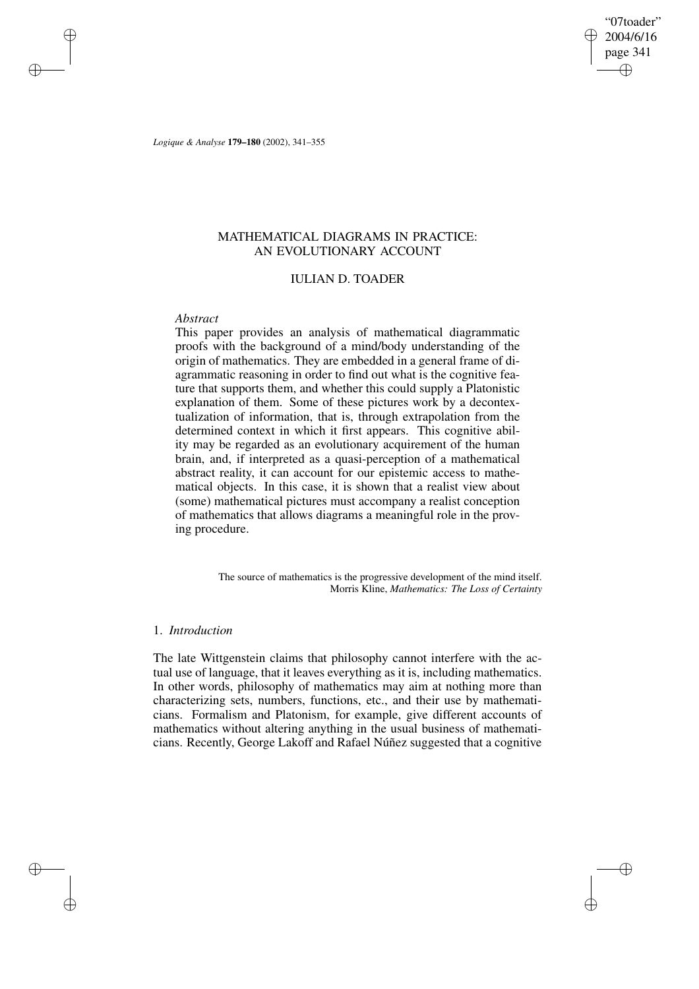"07toader" 2004/6/16 page 341 ✐ ✐

✐

✐

*Logique & Analyse* **179–180** (2002), 341–355

# MATHEMATICAL DIAGRAMS IN PRACTICE: AN EVOLUTIONARY ACCOUNT

# IULIAN D. TOADER

### *Abstract*

✐

✐

✐

✐

This paper provides an analysis of mathematical diagrammatic proofs with the background of a mind/body understanding of the origin of mathematics. They are embedded in a general frame of diagrammatic reasoning in order to find out what is the cognitive feature that supports them, and whether this could supply a Platonistic explanation of them. Some of these pictures work by a decontextualization of information, that is, through extrapolation from the determined context in which it first appears. This cognitive ability may be regarded as an evolutionary acquirement of the human brain, and, if interpreted as a quasi-perception of a mathematical abstract reality, it can account for our epistemic access to mathematical objects. In this case, it is shown that a realist view about (some) mathematical pictures must accompany a realist conception of mathematics that allows diagrams a meaningful role in the proving procedure.

> The source of mathematics is the progressive development of the mind itself. Morris Kline, *Mathematics: The Loss of Certainty*

# 1. *Introduction*

The late Wittgenstein claims that philosophy cannot interfere with the actual use of language, that it leaves everything as it is, including mathematics. In other words, philosophy of mathematics may aim at nothing more than characterizing sets, numbers, functions, etc., and their use by mathematicians. Formalism and Platonism, for example, give different accounts of mathematics without altering anything in the usual business of mathematicians. Recently, George Lakoff and Rafael Núñez suggested that a cognitive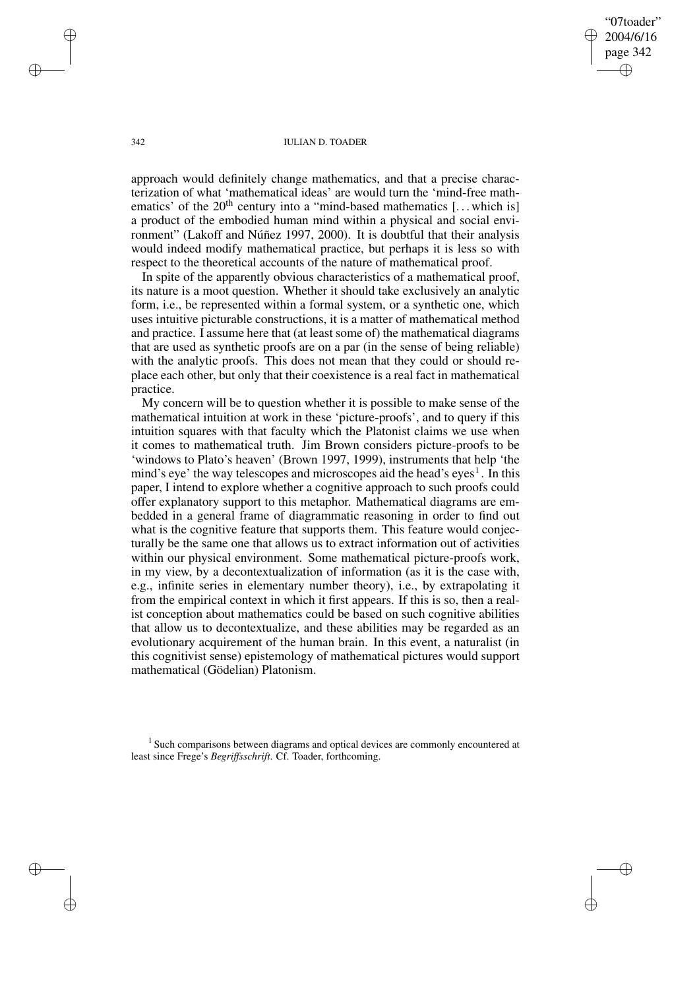"07toader" 2004/6/16 page 342 ✐ ✐

✐

✐

#### 342 IULIAN D. TOADER

approach would definitely change mathematics, and that a precise characterization of what 'mathematical ideas' are would turn the 'mind-free mathematics' of the  $20<sup>th</sup>$  century into a "mind-based mathematics [... which is] a product of the embodied human mind within a physical and social environment" (Lakoff and Núñez 1997, 2000). It is doubtful that their analysis would indeed modify mathematical practice, but perhaps it is less so with respect to the theoretical accounts of the nature of mathematical proof.

In spite of the apparently obvious characteristics of a mathematical proof, its nature is a moot question. Whether it should take exclusively an analytic form, i.e., be represented within a formal system, or a synthetic one, which uses intuitive picturable constructions, it is a matter of mathematical method and practice. I assume here that (at least some of) the mathematical diagrams that are used as synthetic proofs are on a par (in the sense of being reliable) with the analytic proofs. This does not mean that they could or should replace each other, but only that their coexistence is a real fact in mathematical practice.

My concern will be to question whether it is possible to make sense of the mathematical intuition at work in these 'picture-proofs', and to query if this intuition squares with that faculty which the Platonist claims we use when it comes to mathematical truth. Jim Brown considers picture-proofs to be 'windows to Plato's heaven' (Brown 1997, 1999), instruments that help 'the mind's eye' the way telescopes and microscopes aid the head's eyes<sup>1</sup>. In this paper, I intend to explore whether a cognitive approach to such proofs could offer explanatory support to this metaphor. Mathematical diagrams are embedded in a general frame of diagrammatic reasoning in order to find out what is the cognitive feature that supports them. This feature would conjecturally be the same one that allows us to extract information out of activities within our physical environment. Some mathematical picture-proofs work, in my view, by a decontextualization of information (as it is the case with, e.g., infinite series in elementary number theory), i.e., by extrapolating it from the empirical context in which it first appears. If this is so, then a realist conception about mathematics could be based on such cognitive abilities that allow us to decontextualize, and these abilities may be regarded as an evolutionary acquirement of the human brain. In this event, a naturalist (in this cognitivist sense) epistemology of mathematical pictures would support mathematical (Gödelian) Platonism.

<sup>1</sup> Such comparisons between diagrams and optical devices are commonly encountered at least since Frege's *Begriffsschrift*. Cf. Toader, forthcoming.

✐

✐

✐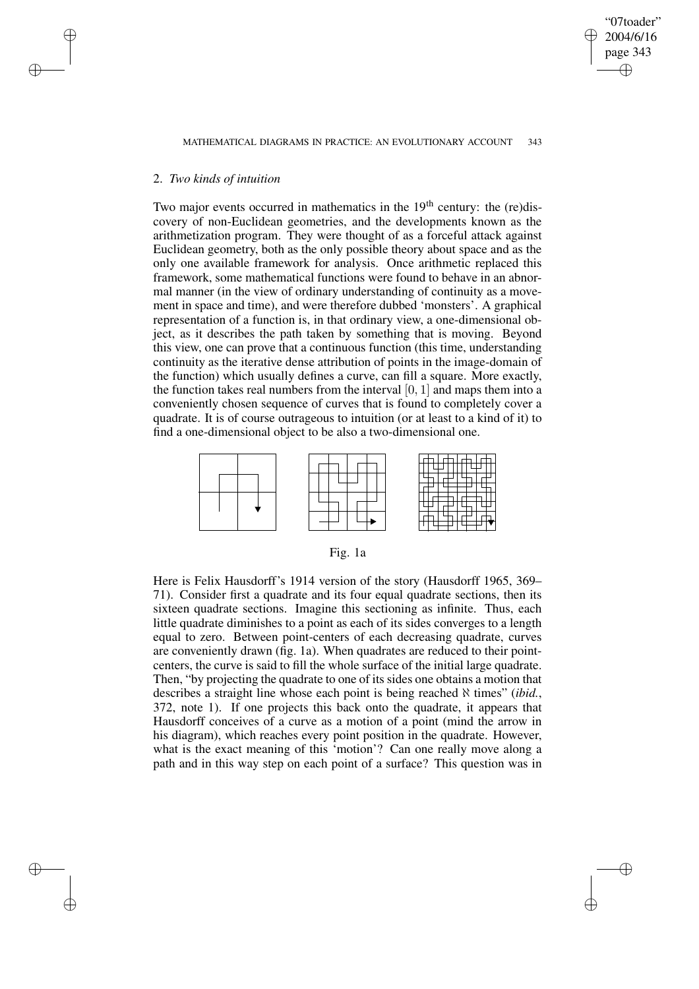✐

# 2. *Two kinds of intuition*

✐

✐

✐

✐

Two major events occurred in mathematics in the  $19<sup>th</sup>$  century: the (re)discovery of non-Euclidean geometries, and the developments known as the arithmetization program. They were thought of as a forceful attack against Euclidean geometry, both as the only possible theory about space and as the only one available framework for analysis. Once arithmetic replaced this framework, some mathematical functions were found to behave in an abnormal manner (in the view of ordinary understanding of continuity as a movement in space and time), and were therefore dubbed 'monsters'. A graphical representation of a function is, in that ordinary view, a one-dimensional object, as it describes the path taken by something that is moving. Beyond this view, one can prove that a continuous function (this time, understanding continuity as the iterative dense attribution of points in the image-domain of the function) which usually defines a curve, can fill a square. More exactly, the function takes real numbers from the interval  $[0, 1]$  and maps them into a conveniently chosen sequence of curves that is found to completely cover a quadrate. It is of course outrageous to intuition (or at least to a kind of it) to find a one-dimensional object to be also a two-dimensional one.



| ı. |
|----|
|    |

Here is Felix Hausdorff's 1914 version of the story (Hausdorff 1965, 369– 71). Consider first a quadrate and its four equal quadrate sections, then its sixteen quadrate sections. Imagine this sectioning as infinite. Thus, each little quadrate diminishes to a point as each of its sides converges to a length equal to zero. Between point-centers of each decreasing quadrate, curves are conveniently drawn (fig. 1a). When quadrates are reduced to their pointcenters, the curve is said to fill the whole surface of the initial large quadrate. Then, "by projecting the quadrate to one of its sides one obtains a motion that describes a straight line whose each point is being reached  $\aleph$  times" *(ibid.*, 372, note 1). If one projects this back onto the quadrate, it appears that Hausdorff conceives of a curve as a motion of a point (mind the arrow in his diagram), which reaches every point position in the quadrate. However, what is the exact meaning of this 'motion'? Can one really move along a path and in this way step on each point of a surface? This question was in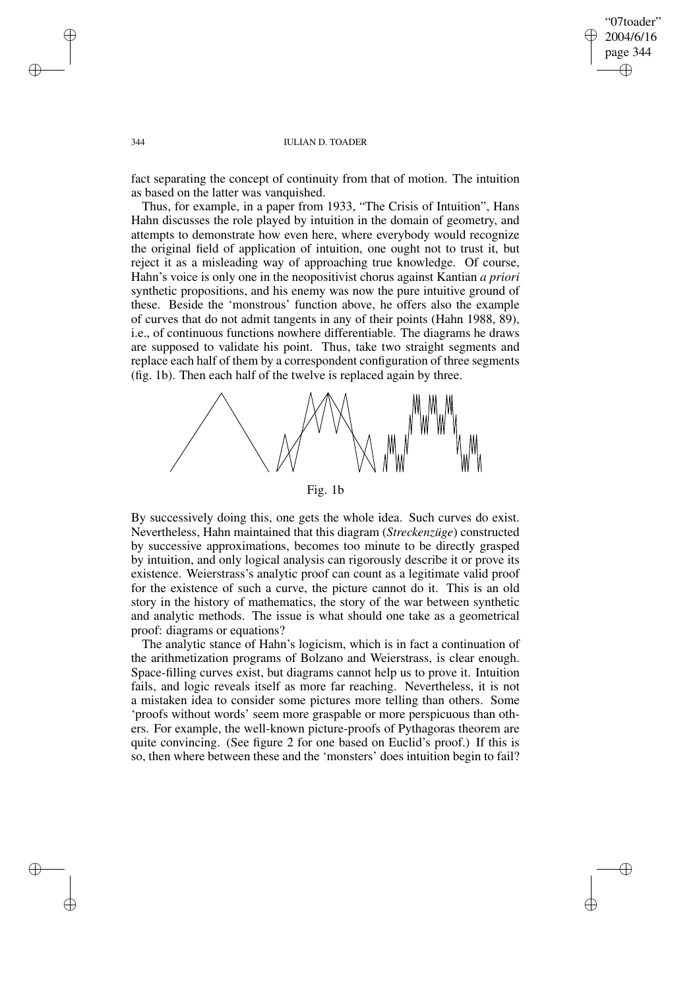## "07toader" 2004/6/16 page 344 ✐ ✐

✐

✐

#### 344 IULIAN D. TOADER

fact separating the concept of continuity from that of motion. The intuition as based on the latter was vanquished.

Thus, for example, in a paper from 1933, "The Crisis of Intuition", Hans Hahn discusses the role played by intuition in the domain of geometry, and attempts to demonstrate how even here, where everybody would recognize the original field of application of intuition, one ought not to trust it, but reject it as a misleading way of approaching true knowledge. Of course, Hahn's voice is only one in the neopositivist chorus against Kantian *a priori* synthetic propositions, and his enemy was now the pure intuitive ground of these. Beside the 'monstrous' function above, he offers also the example of curves that do not admit tangents in any of their points (Hahn 1988, 89), i.e., of continuous functions nowhere differentiable. The diagrams he draws are supposed to validate his point. Thus, take two straight segments and replace each half of them by a correspondent configuration of three segments (fig. 1b). Then each half of the twelve is replaced again by three.



Fig. 1b

By successively doing this, one gets the whole idea. Such curves do exist. Nevertheless, Hahn maintained that this diagram (*Streckenzüge*) constructed by successive approximations, becomes too minute to be directly grasped by intuition, and only logical analysis can rigorously describe it or prove its existence. Weierstrass's analytic proof can count as a legitimate valid proof for the existence of such a curve, the picture cannot do it. This is an old story in the history of mathematics, the story of the war between synthetic and analytic methods. The issue is what should one take as a geometrical proof: diagrams or equations?

The analytic stance of Hahn's logicism, which is in fact a continuation of the arithmetization programs of Bolzano and Weierstrass, is clear enough. Space-filling curves exist, but diagrams cannot help us to prove it. Intuition fails, and logic reveals itself as more far reaching. Nevertheless, it is not a mistaken idea to consider some pictures more telling than others. Some 'proofs without words' seem more graspable or more perspicuous than others. For example, the well-known picture-proofs of Pythagoras theorem are quite convincing. (See figure 2 for one based on Euclid's proof.) If this is so, then where between these and the 'monsters' does intuition begin to fail?

✐

✐

✐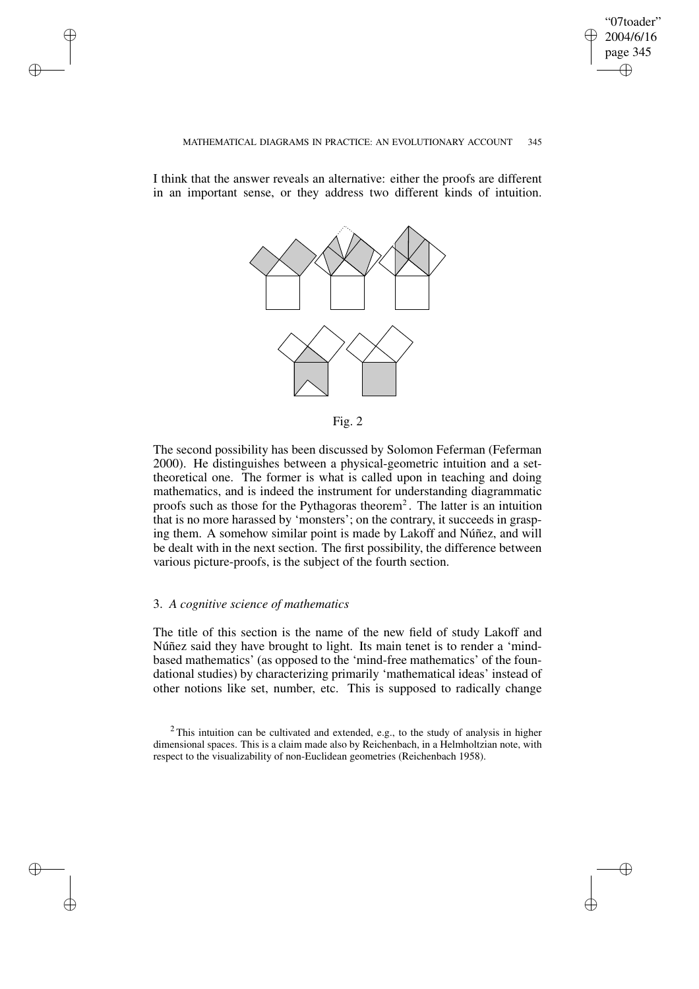"07toader" 2004/6/16 page 345 ✐ ✐

✐

#### MATHEMATICAL DIAGRAMS IN PRACTICE: AN EVOLUTIONARY ACCOUNT 345

I think that the answer reveals an alternative: either the proofs are different in an important sense, or they address two different kinds of intuition.





The second possibility has been discussed by Solomon Feferman (Feferman 2000). He distinguishes between a physical-geometric intuition and a settheoretical one. The former is what is called upon in teaching and doing mathematics, and is indeed the instrument for understanding diagrammatic proofs such as those for the Pythagoras theorem<sup>2</sup>. The latter is an intuition that is no more harassed by 'monsters'; on the contrary, it succeeds in grasping them. A somehow similar point is made by Lakoff and Núñez, and will be dealt with in the next section. The first possibility, the difference between various picture-proofs, is the subject of the fourth section.

## 3. *A cognitive science of mathematics*

✐

✐

✐

✐

The title of this section is the name of the new field of study Lakoff and Núñez said they have brought to light. Its main tenet is to render a 'mindbased mathematics' (as opposed to the 'mind-free mathematics' of the foundational studies) by characterizing primarily 'mathematical ideas' instead of other notions like set, number, etc. This is supposed to radically change

 $2$ This intuition can be cultivated and extended, e.g., to the study of analysis in higher dimensional spaces. This is a claim made also by Reichenbach, in a Helmholtzian note, with respect to the visualizability of non-Euclidean geometries (Reichenbach 1958).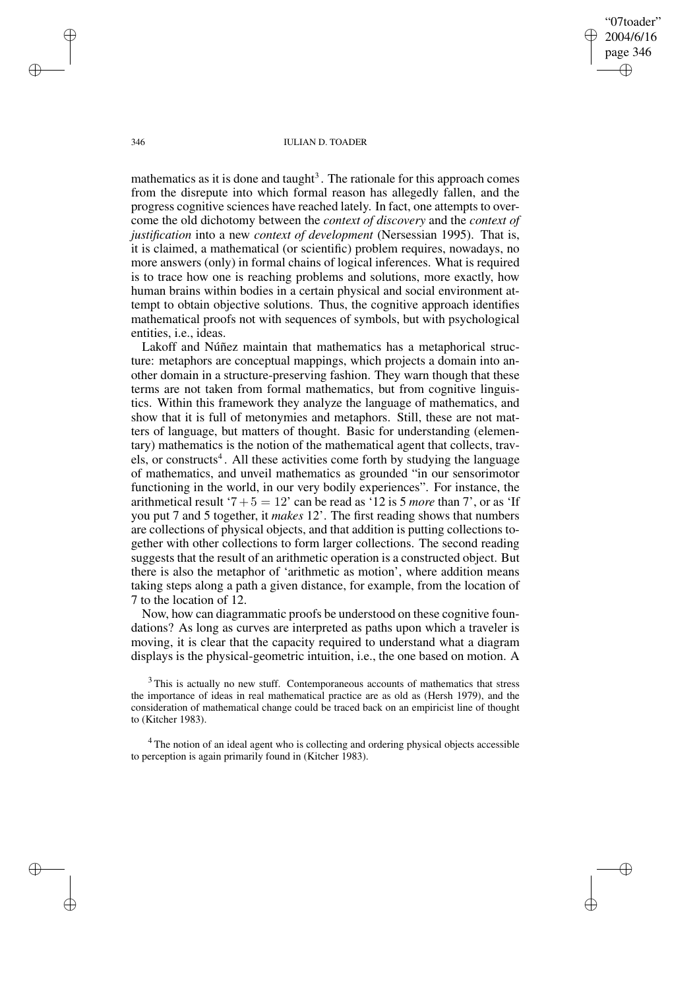"07toader" 2004/6/16 page 346 ✐ ✐

✐

✐

#### 346 IULIAN D. TOADER

mathematics as it is done and taught<sup>3</sup>. The rationale for this approach comes from the disrepute into which formal reason has allegedly fallen, and the progress cognitive sciences have reached lately. In fact, one attempts to overcome the old dichotomy between the *context of discovery* and the *context of justification* into a new *context of development* (Nersessian 1995). That is, it is claimed, a mathematical (or scientific) problem requires, nowadays, no more answers (only) in formal chains of logical inferences. What is required is to trace how one is reaching problems and solutions, more exactly, how human brains within bodies in a certain physical and social environment attempt to obtain objective solutions. Thus, the cognitive approach identifies mathematical proofs not with sequences of symbols, but with psychological entities, i.e., ideas.

Lakoff and Núñez maintain that mathematics has a metaphorical structure: metaphors are conceptual mappings, which projects a domain into another domain in a structure-preserving fashion. They warn though that these terms are not taken from formal mathematics, but from cognitive linguistics. Within this framework they analyze the language of mathematics, and show that it is full of metonymies and metaphors. Still, these are not matters of language, but matters of thought. Basic for understanding (elementary) mathematics is the notion of the mathematical agent that collects, travels, or constructs<sup>4</sup>. All these activities come forth by studying the language of mathematics, and unveil mathematics as grounded "in our sensorimotor functioning in the world, in our very bodily experiences". For instance, the arithmetical result '7 + 5 = 12' can be read as '12 is 5 *more* than 7', or as 'If you put 7 and 5 together, it *makes* 12'. The first reading shows that numbers are collections of physical objects, and that addition is putting collections together with other collections to form larger collections. The second reading suggests that the result of an arithmetic operation is a constructed object. But there is also the metaphor of 'arithmetic as motion', where addition means taking steps along a path a given distance, for example, from the location of 7 to the location of 12.

Now, how can diagrammatic proofs be understood on these cognitive foundations? As long as curves are interpreted as paths upon which a traveler is moving, it is clear that the capacity required to understand what a diagram displays is the physical-geometric intuition, i.e., the one based on motion. A

<sup>3</sup>This is actually no new stuff. Contemporaneous accounts of mathematics that stress the importance of ideas in real mathematical practice are as old as (Hersh 1979), and the consideration of mathematical change could be traced back on an empiricist line of thought to (Kitcher 1983).

<sup>4</sup> The notion of an ideal agent who is collecting and ordering physical objects accessible to perception is again primarily found in (Kitcher 1983).

✐

✐

✐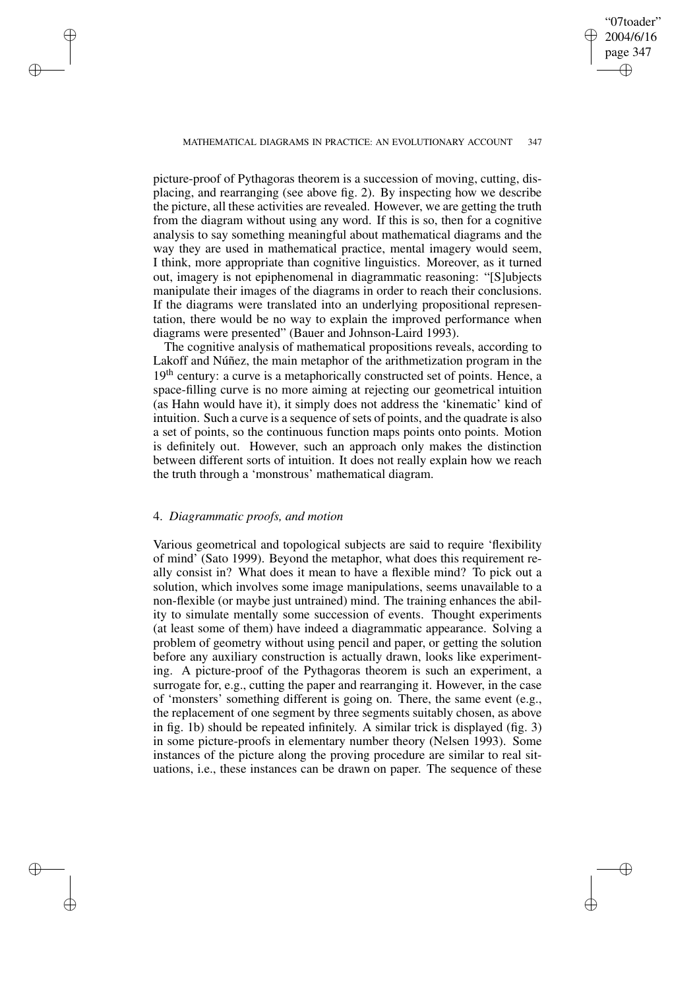✐

#### MATHEMATICAL DIAGRAMS IN PRACTICE: AN EVOLUTIONARY ACCOUNT 347

picture-proof of Pythagoras theorem is a succession of moving, cutting, displacing, and rearranging (see above fig. 2). By inspecting how we describe the picture, all these activities are revealed. However, we are getting the truth from the diagram without using any word. If this is so, then for a cognitive analysis to say something meaningful about mathematical diagrams and the way they are used in mathematical practice, mental imagery would seem, I think, more appropriate than cognitive linguistics. Moreover, as it turned out, imagery is not epiphenomenal in diagrammatic reasoning: "[S]ubjects manipulate their images of the diagrams in order to reach their conclusions. If the diagrams were translated into an underlying propositional representation, there would be no way to explain the improved performance when diagrams were presented" (Bauer and Johnson-Laird 1993).

The cognitive analysis of mathematical propositions reveals, according to Lakoff and Núñez, the main metaphor of the arithmetization program in the 19<sup>th</sup> century: a curve is a metaphorically constructed set of points. Hence, a space-filling curve is no more aiming at rejecting our geometrical intuition (as Hahn would have it), it simply does not address the 'kinematic' kind of intuition. Such a curve is a sequence of sets of points, and the quadrate is also a set of points, so the continuous function maps points onto points. Motion is definitely out. However, such an approach only makes the distinction between different sorts of intuition. It does not really explain how we reach the truth through a 'monstrous' mathematical diagram.

#### 4. *Diagrammatic proofs, and motion*

✐

✐

✐

✐

Various geometrical and topological subjects are said to require 'flexibility of mind' (Sato 1999). Beyond the metaphor, what does this requirement really consist in? What does it mean to have a flexible mind? To pick out a solution, which involves some image manipulations, seems unavailable to a non-flexible (or maybe just untrained) mind. The training enhances the ability to simulate mentally some succession of events. Thought experiments (at least some of them) have indeed a diagrammatic appearance. Solving a problem of geometry without using pencil and paper, or getting the solution before any auxiliary construction is actually drawn, looks like experimenting. A picture-proof of the Pythagoras theorem is such an experiment, a surrogate for, e.g., cutting the paper and rearranging it. However, in the case of 'monsters' something different is going on. There, the same event (e.g., the replacement of one segment by three segments suitably chosen, as above in fig. 1b) should be repeated infinitely. A similar trick is displayed (fig. 3) in some picture-proofs in elementary number theory (Nelsen 1993). Some instances of the picture along the proving procedure are similar to real situations, i.e., these instances can be drawn on paper. The sequence of these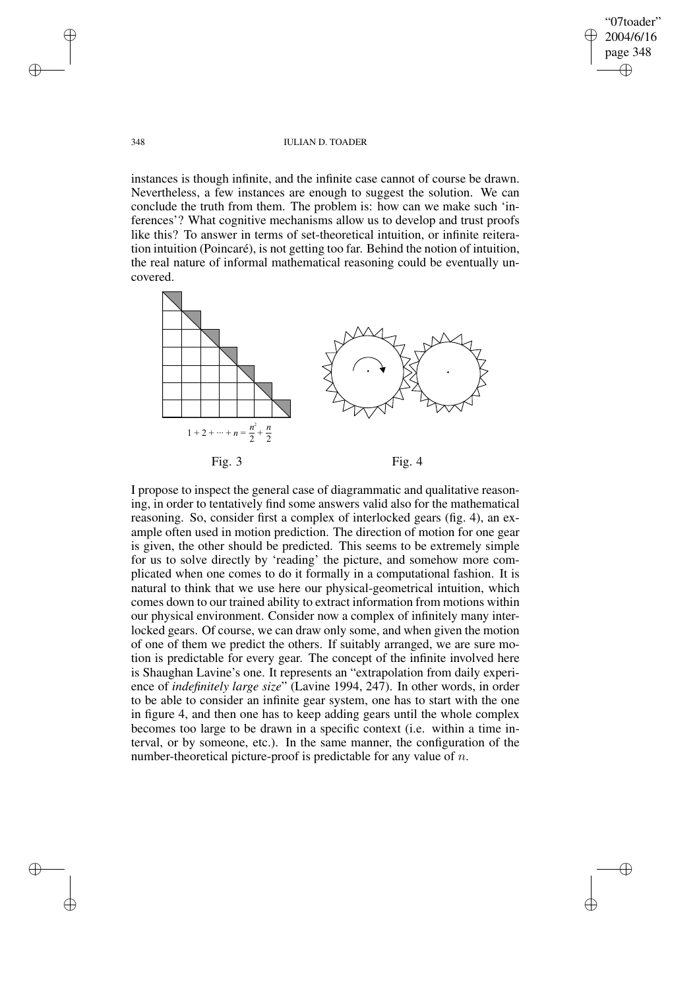"07toader" 2004/6/16 page 348 ✐ ✐

✐

✐

#### 348 IULIAN D. TOADER

instances is though infinite, and the infinite case cannot of course be drawn. Nevertheless, a few instances are enough to suggest the solution. We can conclude the truth from them. The problem is: how can we make such 'inferences'? What cognitive mechanisms allow us to develop and trust proofs like this? To answer in terms of set-theoretical intuition, or infinite reiteration intuition (Poincaré), is not getting too far. Behind the notion of intuition, the real nature of informal mathematical reasoning could be eventually uncovered.



I propose to inspect the general case of diagrammatic and qualitative reasoning, in order to tentatively find some answers valid also for the mathematical reasoning. So, consider first a complex of interlocked gears (fig. 4), an example often used in motion prediction. The direction of motion for one gear is given, the other should be predicted. This seems to be extremely simple for us to solve directly by 'reading' the picture, and somehow more complicated when one comes to do it formally in a computational fashion. It is natural to think that we use here our physical-geometrical intuition, which comes down to our trained ability to extract information from motions within our physical environment. Consider now a complex of infinitely many interlocked gears. Of course, we can draw only some, and when given the motion of one of them we predict the others. If suitably arranged, we are sure motion is predictable for every gear. The concept of the infinite involved here is Shaughan Lavine's one. It represents an "extrapolation from daily experience of *indefinitely large size*" (Lavine 1994, 247). In other words, in order to be able to consider an infinite gear system, one has to start with the one in figure 4, and then one has to keep adding gears until the whole complex becomes too large to be drawn in a specific context (i.e. within a time interval, or by someone, etc.). In the same manner, the configuration of the number-theoretical picture-proof is predictable for any value of  $n$ .

✐

✐

✐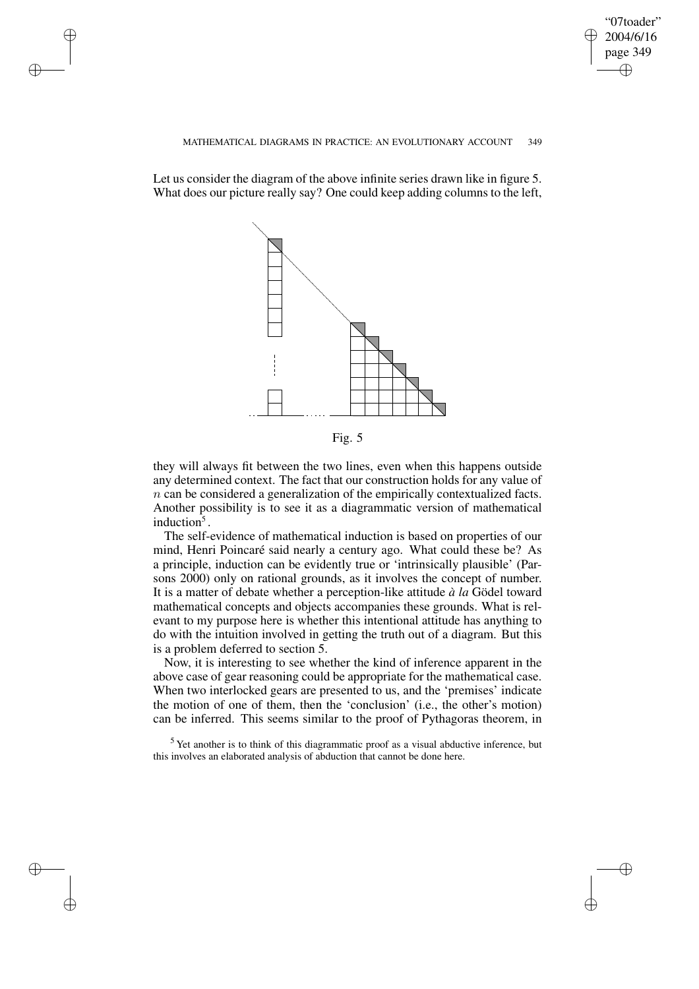"07toader" 2004/6/16 page 349 ✐ ✐

✐

✐

#### MATHEMATICAL DIAGRAMS IN PRACTICE: AN EVOLUTIONARY ACCOUNT 349

Let us consider the diagram of the above infinite series drawn like in figure 5. What does our picture really say? One could keep adding columns to the left,

✐

✐

✐

✐



Fig. 5

they will always fit between the two lines, even when this happens outside any determined context. The fact that our construction holds for any value of n can be considered a generalization of the empirically contextualized facts. Another possibility is to see it as a diagrammatic version of mathematical induction<sup>5</sup>.

The self-evidence of mathematical induction is based on properties of our mind, Henri Poincaré said nearly a century ago. What could these be? As a principle, induction can be evidently true or 'intrinsically plausible' (Parsons 2000) only on rational grounds, as it involves the concept of number. It is a matter of debate whether a perception-like attitude *à la* Gödel toward mathematical concepts and objects accompanies these grounds. What is relevant to my purpose here is whether this intentional attitude has anything to do with the intuition involved in getting the truth out of a diagram. But this is a problem deferred to section 5.

Now, it is interesting to see whether the kind of inference apparent in the above case of gear reasoning could be appropriate for the mathematical case. When two interlocked gears are presented to us, and the 'premises' indicate the motion of one of them, then the 'conclusion' (i.e., the other's motion) can be inferred. This seems similar to the proof of Pythagoras theorem, in

<sup>5</sup> Yet another is to think of this diagrammatic proof as a visual abductive inference, but this involves an elaborated analysis of abduction that cannot be done here.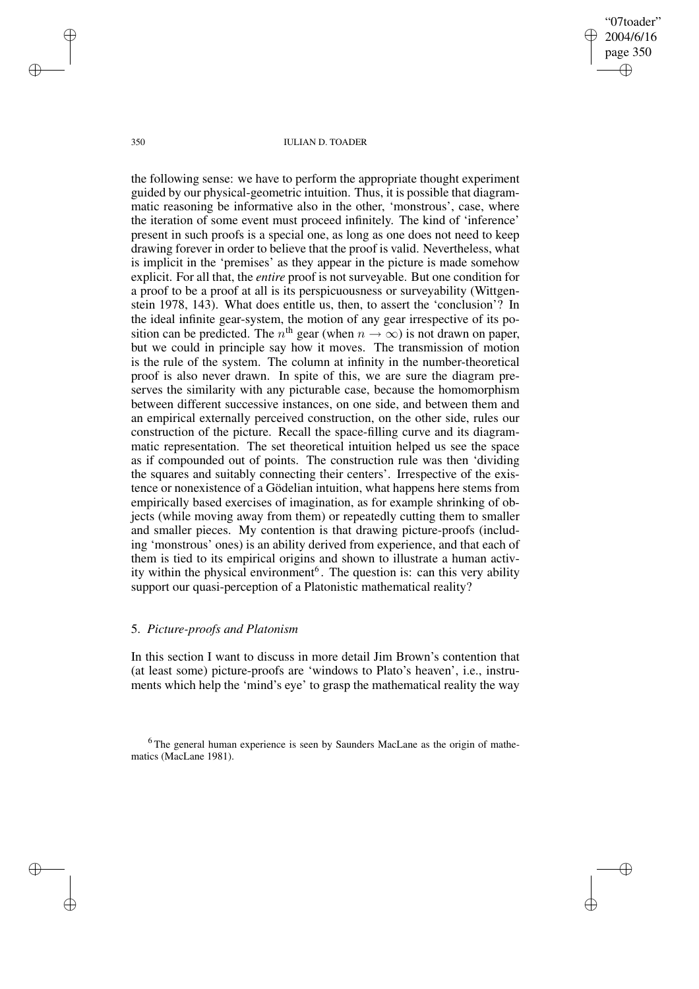"07toader" 2004/6/16 page 350 ✐ ✐

✐

✐

#### 350 IULIAN D. TOADER

the following sense: we have to perform the appropriate thought experiment guided by our physical-geometric intuition. Thus, it is possible that diagrammatic reasoning be informative also in the other, 'monstrous', case, where the iteration of some event must proceed infinitely. The kind of 'inference' present in such proofs is a special one, as long as one does not need to keep drawing forever in order to believe that the proof is valid. Nevertheless, what is implicit in the 'premises' as they appear in the picture is made somehow explicit. For all that, the *entire* proof is not surveyable. But one condition for a proof to be a proof at all is its perspicuousness or surveyability (Wittgenstein 1978, 143). What does entitle us, then, to assert the 'conclusion'? In the ideal infinite gear-system, the motion of any gear irrespective of its position can be predicted. The  $n^{\text{th}}$  gear (when  $n \to \infty$ ) is not drawn on paper, but we could in principle say how it moves. The transmission of motion is the rule of the system. The column at infinity in the number-theoretical proof is also never drawn. In spite of this, we are sure the diagram preserves the similarity with any picturable case, because the homomorphism between different successive instances, on one side, and between them and an empirical externally perceived construction, on the other side, rules our construction of the picture. Recall the space-filling curve and its diagrammatic representation. The set theoretical intuition helped us see the space as if compounded out of points. The construction rule was then 'dividing the squares and suitably connecting their centers'. Irrespective of the existence or nonexistence of a Gödelian intuition, what happens here stems from empirically based exercises of imagination, as for example shrinking of objects (while moving away from them) or repeatedly cutting them to smaller and smaller pieces. My contention is that drawing picture-proofs (including 'monstrous' ones) is an ability derived from experience, and that each of them is tied to its empirical origins and shown to illustrate a human activity within the physical environment<sup>6</sup>. The question is: can this very ability support our quasi-perception of a Platonistic mathematical reality?

### 5. *Picture-proofs and Platonism*

In this section I want to discuss in more detail Jim Brown's contention that (at least some) picture-proofs are 'windows to Plato's heaven', i.e., instruments which help the 'mind's eye' to grasp the mathematical reality the way

<sup>6</sup> The general human experience is seen by Saunders MacLane as the origin of mathematics (MacLane 1981).

✐

✐

✐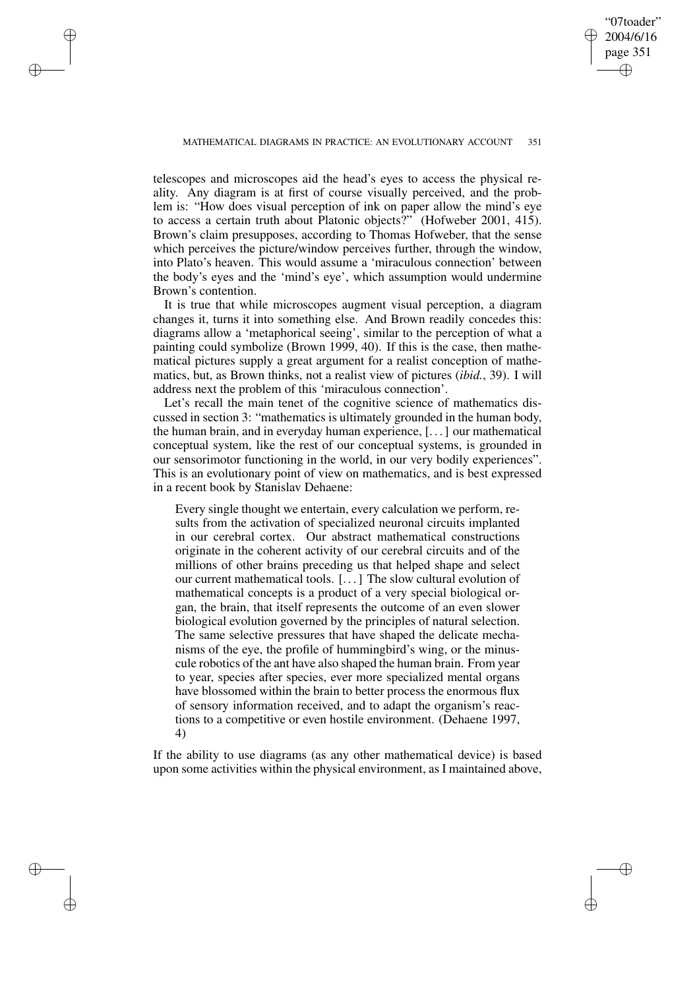✐

✐

✐

✐

✐

telescopes and microscopes aid the head's eyes to access the physical reality. Any diagram is at first of course visually perceived, and the problem is: "How does visual perception of ink on paper allow the mind's eye to access a certain truth about Platonic objects?" (Hofweber 2001, 415). Brown's claim presupposes, according to Thomas Hofweber, that the sense which perceives the picture/window perceives further, through the window, into Plato's heaven. This would assume a 'miraculous connection' between the body's eyes and the 'mind's eye', which assumption would undermine Brown's contention.

It is true that while microscopes augment visual perception, a diagram changes it, turns it into something else. And Brown readily concedes this: diagrams allow a 'metaphorical seeing', similar to the perception of what a painting could symbolize (Brown 1999, 40). If this is the case, then mathematical pictures supply a great argument for a realist conception of mathematics, but, as Brown thinks, not a realist view of pictures (*ibid.*, 39). I will address next the problem of this 'miraculous connection'.

Let's recall the main tenet of the cognitive science of mathematics discussed in section 3: "mathematics is ultimately grounded in the human body, the human brain, and in everyday human experience, [. . .] our mathematical conceptual system, like the rest of our conceptual systems, is grounded in our sensorimotor functioning in the world, in our very bodily experiences". This is an evolutionary point of view on mathematics, and is best expressed in a recent book by Stanislav Dehaene:

Every single thought we entertain, every calculation we perform, results from the activation of specialized neuronal circuits implanted in our cerebral cortex. Our abstract mathematical constructions originate in the coherent activity of our cerebral circuits and of the millions of other brains preceding us that helped shape and select our current mathematical tools. [. . .] The slow cultural evolution of mathematical concepts is a product of a very special biological organ, the brain, that itself represents the outcome of an even slower biological evolution governed by the principles of natural selection. The same selective pressures that have shaped the delicate mechanisms of the eye, the profile of hummingbird's wing, or the minuscule robotics of the ant have also shaped the human brain. From year to year, species after species, ever more specialized mental organs have blossomed within the brain to better process the enormous flux of sensory information received, and to adapt the organism's reactions to a competitive or even hostile environment. (Dehaene 1997, 4)

If the ability to use diagrams (as any other mathematical device) is based upon some activities within the physical environment, as I maintained above,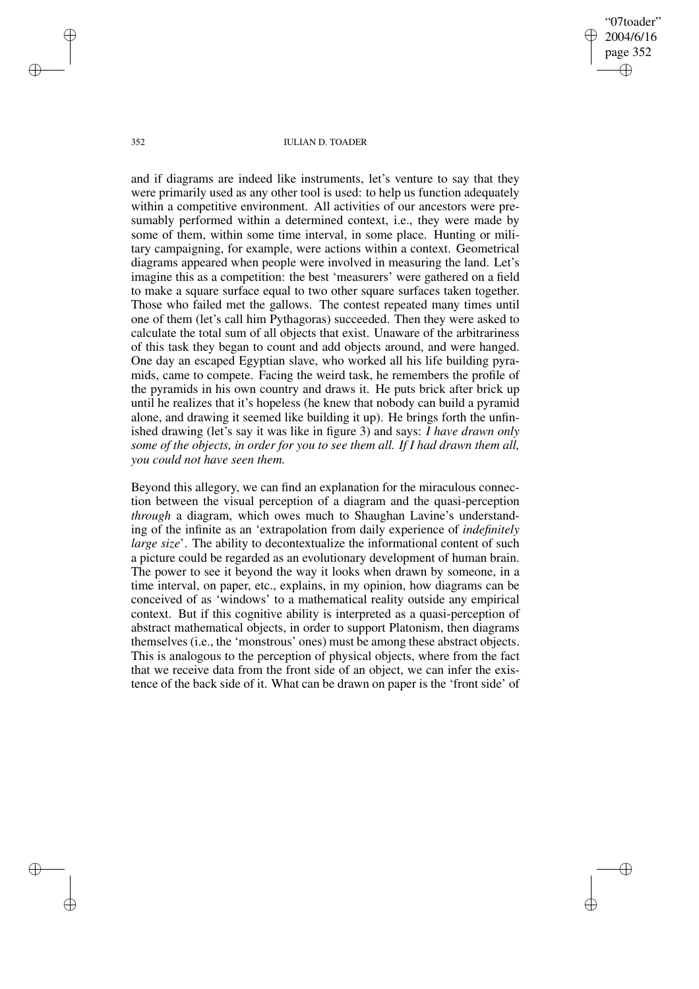"07toader" 2004/6/16 page 352 ✐ ✐

✐

✐

#### 352 IULIAN D. TOADER

and if diagrams are indeed like instruments, let's venture to say that they were primarily used as any other tool is used: to help us function adequately within a competitive environment. All activities of our ancestors were presumably performed within a determined context, i.e., they were made by some of them, within some time interval, in some place. Hunting or military campaigning, for example, were actions within a context. Geometrical diagrams appeared when people were involved in measuring the land. Let's imagine this as a competition: the best 'measurers' were gathered on a field to make a square surface equal to two other square surfaces taken together. Those who failed met the gallows. The contest repeated many times until one of them (let's call him Pythagoras) succeeded. Then they were asked to calculate the total sum of all objects that exist. Unaware of the arbitrariness of this task they began to count and add objects around, and were hanged. One day an escaped Egyptian slave, who worked all his life building pyramids, came to compete. Facing the weird task, he remembers the profile of the pyramids in his own country and draws it. He puts brick after brick up until he realizes that it's hopeless (he knew that nobody can build a pyramid alone, and drawing it seemed like building it up). He brings forth the unfinished drawing (let's say it was like in figure 3) and says: *I have drawn only some of the objects, in order for you to see them all. If I had drawn them all, you could not have seen them.*

Beyond this allegory, we can find an explanation for the miraculous connection between the visual perception of a diagram and the quasi-perception *through* a diagram, which owes much to Shaughan Lavine's understanding of the infinite as an 'extrapolation from daily experience of *indefinitely large size*'. The ability to decontextualize the informational content of such a picture could be regarded as an evolutionary development of human brain. The power to see it beyond the way it looks when drawn by someone, in a time interval, on paper, etc., explains, in my opinion, how diagrams can be conceived of as 'windows' to a mathematical reality outside any empirical context. But if this cognitive ability is interpreted as a quasi-perception of abstract mathematical objects, in order to support Platonism, then diagrams themselves (i.e., the 'monstrous' ones) must be among these abstract objects. This is analogous to the perception of physical objects, where from the fact that we receive data from the front side of an object, we can infer the existence of the back side of it. What can be drawn on paper is the 'front side' of

✐

✐

✐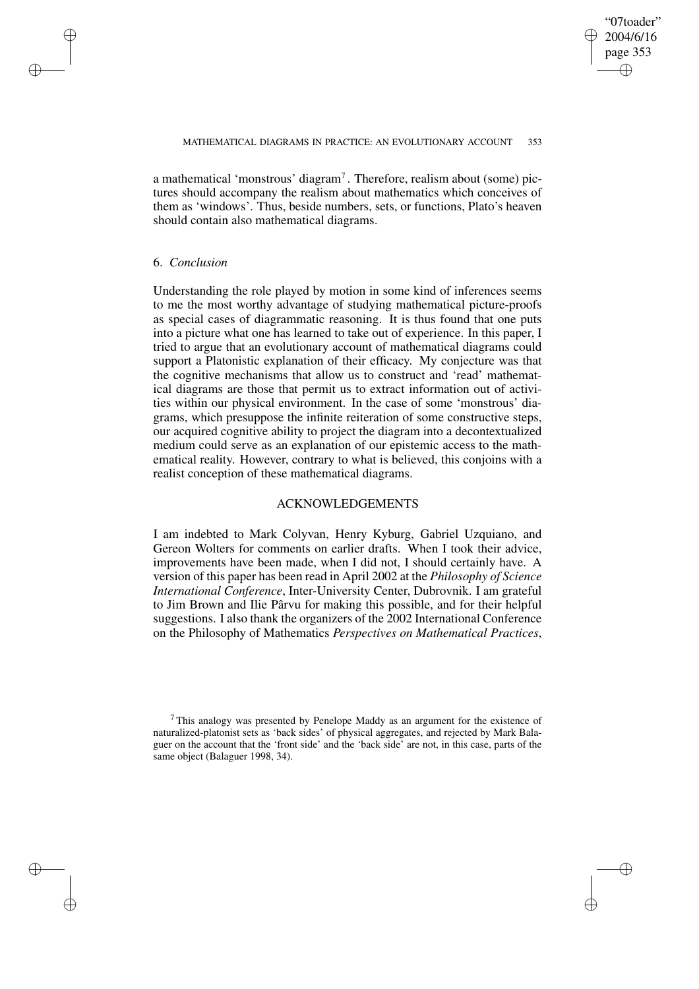✐

a mathematical 'monstrous' diagram<sup>7</sup>. Therefore, realism about (some) pictures should accompany the realism about mathematics which conceives of them as 'windows'. Thus, beside numbers, sets, or functions, Plato's heaven should contain also mathematical diagrams.

#### 6. *Conclusion*

✐

✐

✐

✐

Understanding the role played by motion in some kind of inferences seems to me the most worthy advantage of studying mathematical picture-proofs as special cases of diagrammatic reasoning. It is thus found that one puts into a picture what one has learned to take out of experience. In this paper, I tried to argue that an evolutionary account of mathematical diagrams could support a Platonistic explanation of their efficacy. My conjecture was that the cognitive mechanisms that allow us to construct and 'read' mathematical diagrams are those that permit us to extract information out of activities within our physical environment. In the case of some 'monstrous' diagrams, which presuppose the infinite reiteration of some constructive steps, our acquired cognitive ability to project the diagram into a decontextualized medium could serve as an explanation of our epistemic access to the mathematical reality. However, contrary to what is believed, this conjoins with a realist conception of these mathematical diagrams.

### ACKNOWLEDGEMENTS

I am indebted to Mark Colyvan, Henry Kyburg, Gabriel Uzquiano, and Gereon Wolters for comments on earlier drafts. When I took their advice, improvements have been made, when I did not, I should certainly have. A version of this paper has been read in April 2002 at the *Philosophy of Science International Conference*, Inter-University Center, Dubrovnik. I am grateful to Jim Brown and Ilie Pârvu for making this possible, and for their helpful suggestions. I also thank the organizers of the 2002 International Conference on the Philosophy of Mathematics *Perspectives on Mathematical Practices*,

 $7$ This analogy was presented by Penelope Maddy as an argument for the existence of naturalized-platonist sets as 'back sides' of physical aggregates, and rejected by Mark Balaguer on the account that the 'front side' and the 'back side' are not, in this case, parts of the same object (Balaguer 1998, 34).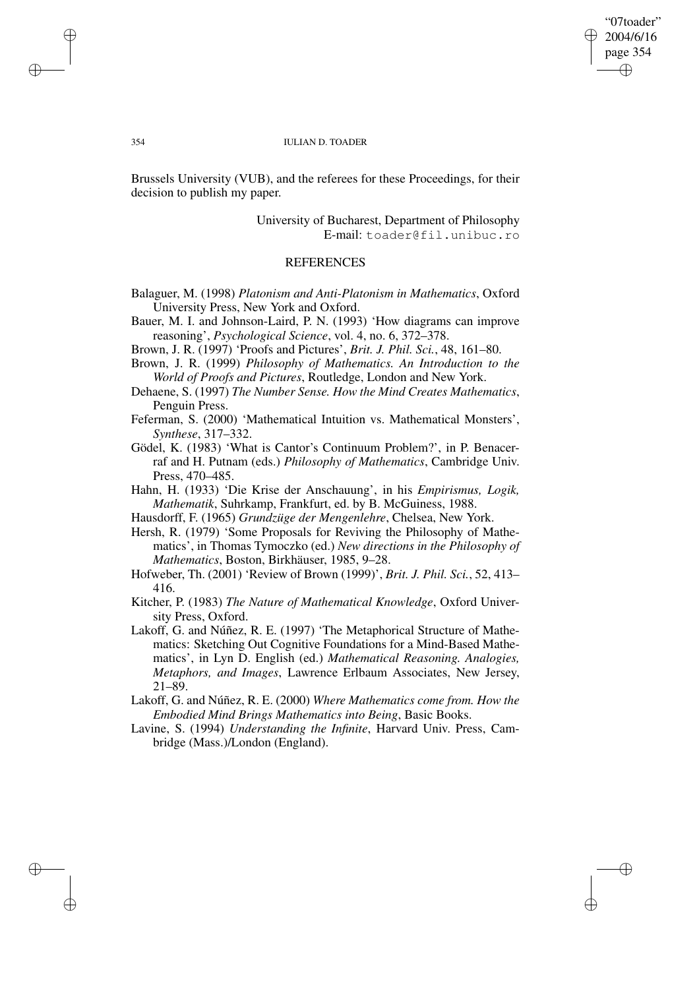## "07toader" 2004/6/16 page 354 ✐ ✐

✐

✐

#### 354 IULIAN D. TOADER

Brussels University (VUB), and the referees for these Proceedings, for their decision to publish my paper.

> University of Bucharest, Department of Philosophy E-mail: toader@fil.unibuc.ro

# **REFERENCES**

- Balaguer, M. (1998) *Platonism and Anti-Platonism in Mathematics*, Oxford University Press, New York and Oxford.
- Bauer, M. I. and Johnson-Laird, P. N. (1993) 'How diagrams can improve reasoning', *Psychological Science*, vol. 4, no. 6, 372–378.
- Brown, J. R. (1997) 'Proofs and Pictures', *Brit. J. Phil. Sci.*, 48, 161–80.
- Brown, J. R. (1999) *Philosophy of Mathematics. An Introduction to the World of Proofs and Pictures*, Routledge, London and New York.
- Dehaene, S. (1997) *The Number Sense. How the Mind Creates Mathematics*, Penguin Press.
- Feferman, S. (2000) 'Mathematical Intuition vs. Mathematical Monsters', *Synthese*, 317–332.
- Gödel, K. (1983) 'What is Cantor's Continuum Problem?', in P. Benacerraf and H. Putnam (eds.) *Philosophy of Mathematics*, Cambridge Univ. Press, 470–485.
- Hahn, H. (1933) 'Die Krise der Anschauung', in his *Empirismus, Logik, Mathematik*, Suhrkamp, Frankfurt, ed. by B. McGuiness, 1988.
- Hausdorff, F. (1965) *Grundzüge der Mengenlehre*, Chelsea, New York.
- Hersh, R. (1979) 'Some Proposals for Reviving the Philosophy of Mathematics', in Thomas Tymoczko (ed.) *New directions in the Philosophy of Mathematics*, Boston, Birkhäuser, 1985, 9–28.
- Hofweber, Th. (2001) 'Review of Brown (1999)', *Brit. J. Phil. Sci.*, 52, 413– 416.
- Kitcher, P. (1983) *The Nature of Mathematical Knowledge*, Oxford University Press, Oxford.
- Lakoff, G. and Núñez, R. E. (1997) 'The Metaphorical Structure of Mathematics: Sketching Out Cognitive Foundations for a Mind-Based Mathematics', in Lyn D. English (ed.) *Mathematical Reasoning. Analogies, Metaphors, and Images*, Lawrence Erlbaum Associates, New Jersey, 21–89.
- Lakoff, G. and Núñez, R. E. (2000) *Where Mathematics come from. How the Embodied Mind Brings Mathematics into Being*, Basic Books.
- Lavine, S. (1994) *Understanding the Infinite*, Harvard Univ. Press, Cambridge (Mass.)/London (England).

✐

✐

✐